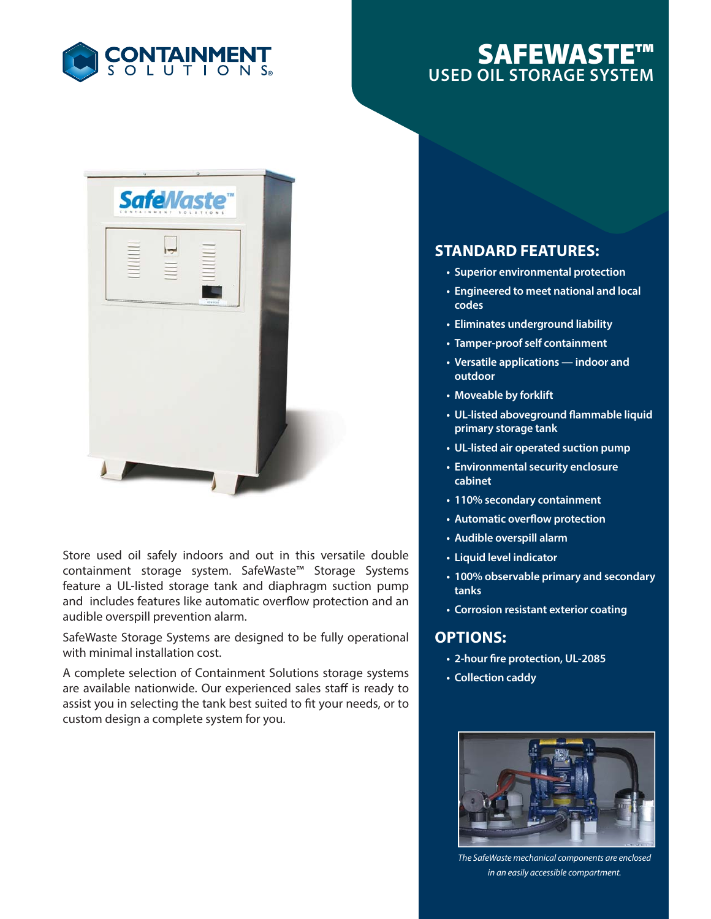

# **SAFEWASTE™ USED OIL STORAGE SYSTEM**



Store used oil safely indoors and out in this versatile double containment storage system. SafeWaste™ Storage Systems feature a UL-listed storage tank and diaphragm suction pump and includes features like automatic overflow protection and an audible overspill prevention alarm.

SafeWaste Storage Systems are designed to be fully operational with minimal installation cost.

A complete selection of Containment Solutions storage systems are available nationwide. Our experienced sales staff is ready to assist you in selecting the tank best suited to fit your needs, or to custom design a complete system for you.

## **STANDARD FEATURES:**

- **Superior environmental protection**
- **Engineered to meet national and local codes**
- **Eliminates underground liability**
- **Tamper-proof self containment**
- **Versatile applications indoor and outdoor**
- **Moveable by forklift**
- UL-listed aboveground flammable liquid **primary storage tank**
- **UL-listed air operated suction pump**
- **Environmental security enclosure cabinet**
- **110% secondary containment**
- **Automatic overflow protection**
- **Audible overspill alarm**
- **Liquid level indicator**
- **100% observable primary and secondary tanks**
- **Corrosion resistant exterior coating**

#### **OPTIONS:**

- **2-hour fire protection, UL-2085**
- **Collection caddy**



*The SafeWaste mechanical components are enclosed in an easily accessible compartment.*